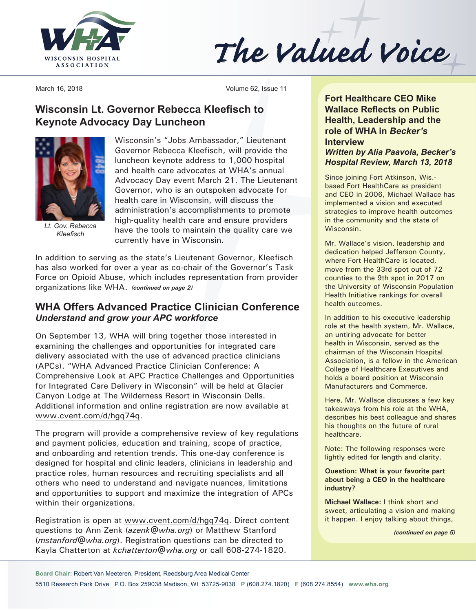

The Valued Voice

March 16, 2018 **Volume 62**, Issue 11

## **Wisconsin Lt. Governor Rebecca Kleefisch to Keynote Advocacy Day Luncheon**



*Lt. Gov. Rebecca Kleefisch*

Wisconsin's "Jobs Ambassador," Lieutenant Governor Rebecca Kleefisch, will provide the luncheon keynote address to 1,000 hospital and health care advocates at WHA's annual Advocacy Day event March 21. The Lieutenant Governor, who is an outspoken advocate for health care in Wisconsin, will discuss the administration's accomplishments to promote high-quality health care and ensure providers have the tools to maintain the quality care we currently have in Wisconsin.

In addition to serving as the state's Lieutenant Governor, Kleefisch has also worked for over a year as co-chair of the Governor's Task Force on Opioid Abuse, which includes representation from provider organizations like WHA. *(continued on page 2)*

## **WHA Offers Advanced Practice Clinician Conference** *Understand and grow your APC workforce*

On September 13, WHA will bring together those interested in examining the challenges and opportunities for integrated care delivery associated with the use of advanced practice clinicians (APCs). "WHA Advanced Practice Clinician Conference: A Comprehensive Look at APC Practice Challenges and Opportunities for Integrated Care Delivery in Wisconsin" will be held at Glacier Canyon Lodge at The Wilderness Resort in Wisconsin Dells. Additional information and online registration are now available at [www.cvent.com/d/hgq](http://www.cvent.com/d/hgq74q)74q.

The program will provide a comprehensive review of key regulations and payment policies, education and training, scope of practice, and onboarding and retention trends. This one-day conference is designed for hospital and clinic leaders, clinicians in leadership and practice roles, human resources and recruiting specialists and all others who need to understand and navigate nuances, limitations and opportunities to support and maximize the integration of APCs within their organizations.

Registration is open at [www.cvent.com/d/hgq7](http://www.cvent.com/d/hgq74q)4q. Direct content questions to Ann Zenk (*[azenk@wha.org](mailto:azenk@wha.org)*) or Matthew Stanford (*[mstanford@wha.org](mailto:mstanford@wha.org)*). Registration questions can be directed to Kayla Chatterton at *[kchatterton@wha.org](mailto:kchatterton@wha.org)* or call 608-274-1820.

**Fort Healthcare CEO Mike Wallace Reflects on Public Health, Leadership and the role of WHA in** *Becker's* **Interview** *Written by Alia Paavola, Becker's Hospital Review, March 13, 2018* 

Since joining Fort Atkinson, Wis. based Fort HealthCare as president and CEO in 2006, Michael Wallace has implemented a vision and executed strategies to improve health outcomes in the community and the state of Wisconsin.

Mr. Wallace's vision, leadership and dedication helped Jefferson County, where Fort HealthCare is located, move from the 33rd spot out of 72 counties to the 9th spot in 2017 on the University of Wisconsin Population Health Initiative rankings for overall health outcomes.

In addition to his executive leadership role at the health system, Mr. Wallace, an untiring advocate for better health in Wisconsin, served as the chairman of the Wisconsin Hospital Association, is a fellow in the American College of Healthcare Executives and holds a board position at Wisconsin Manufacturers and Commerce.

Here, Mr. Wallace discusses a few key takeaways from his role at the WHA, describes his best colleague and shares his thoughts on the future of rural healthcare.

Note: The following responses were lightly edited for length and clarity.

#### **Question: What is your favorite part about being a CEO in the healthcare industry?**

**Michael Wallace:** I think short and sweet, articulating a vision and making it happen. I enjoy talking about things,

*(continued on page 5)*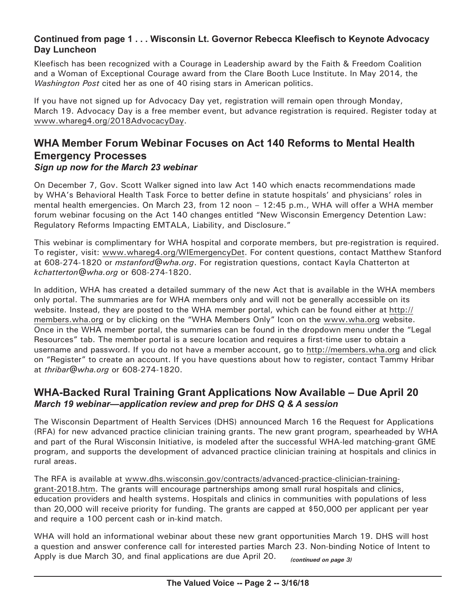## **Continued from page 1 . . . Wisconsin Lt. Governor Rebecca Kleefisch to Keynote Advocacy Day Luncheon**

Kleefisch has been recognized with a Courage in Leadership award by the Faith & Freedom Coalition and a Woman of Exceptional Courage award from the Clare Booth Luce Institute. In May 2014, the *Washington Post* cited her as one of 40 rising stars in American politics.

If you have not signed up for Advocacy Day yet, registration will remain open through Monday, March 19. Advocacy Day is a free member event, but advance registration is required. Register today at [www.whareg4.org/](http://www.whareg4.org/2018AdvocacyDay)2018AdvocacyDay.

## **WHA Member Forum Webinar Focuses on Act 140 Reforms to Mental Health Emergency Processes** *Sign up now for the March 23 webinar*

On December 7, Gov. Scott Walker signed into law Act 140 which enacts recommendations made by WHA's Behavioral Health Task Force to better define in statute hospitals' and physicians' roles in mental health emergencies. On March 23, from 12 noon – 12:45 p.m., WHA will offer a WHA member forum webinar focusing on the Act 140 changes entitled "New Wisconsin Emergency Detention Law: Regulatory Reforms Impacting EMTALA, Liability, and Disclosure."

This webinar is complimentary for WHA hospital and corporate members, but pre-registration is required. To register, visit: [www.whareg4.org/WIEmergencyDet.](http://www.whareg4.org/WIEmergencyDet) For content questions, contact Matthew Stanford at 608-274-1820 or *[mstanford@wha.org](mailto:mstanford@wha.org)*. For registration questions, contact Kayla Chatterton at *[kchatterton@wha.org](mailto:kchatterton@wha.org)* or 608-274-1820.

In addition, WHA has created a detailed summary of the new Act that is available in the WHA members only portal. The summaries are for WHA members only and will not be generally accessible on its website. Instead, they are posted to the WHA member portal, which can be found either at [http://](http://members.wha.org) [members.wha.org](http://members.wha.org) or by clicking on the "WHA Members Only" Icon on the [www.wha.org](http://www.wha.org) website. Once in the WHA member portal, the summaries can be found in the dropdown menu under the "Legal Resources" tab. The member portal is a secure location and requires a first-time user to obtain a username and password. If you do not have a member account, go to<http://members.wha.org> and click on "Register" to create an account. If you have questions about how to register, contact Tammy Hribar at *[thribar@wha.org](mailto:thribar@wha.org)* or 608-274-1820.

## **WHA-Backed Rural Training Grant Applications Now Available – Due April 20** *March 19 webinar—application review and prep for DHS Q & A session*

The Wisconsin Department of Health Services (DHS) announced March 16 the Request for Applications (RFA) for new advanced practice clinician training grants. The new grant program, spearheaded by WHA and part of the Rural Wisconsin Initiative, is modeled after the successful WHA-led matching-grant GME program, and supports the development of advanced practice clinician training at hospitals and clinics in rural areas.

The RFA is available at [www.dhs.wisconsin.gov/contracts/advanced-practice-clinician-training](http://www.dhs.wisconsin.gov/contracts/advanced-practice-clinician-training-grant-2018.htm)[grant-2018.htm](http://www.dhs.wisconsin.gov/contracts/advanced-practice-clinician-training-grant-2018.htm). The grants will encourage partnerships among small rural hospitals and clinics, education providers and health systems. Hospitals and clinics in communities with populations of less than 20,000 will receive priority for funding. The grants are capped at \$50,000 per applicant per year and require a 100 percent cash or in-kind match.

WHA will hold an informational webinar about these new grant opportunities March 19. DHS will host a question and answer conference call for interested parties March 23. Non-binding Notice of Intent to Apply is due March 30, and final applications are due April 20. *(continued on page 3)*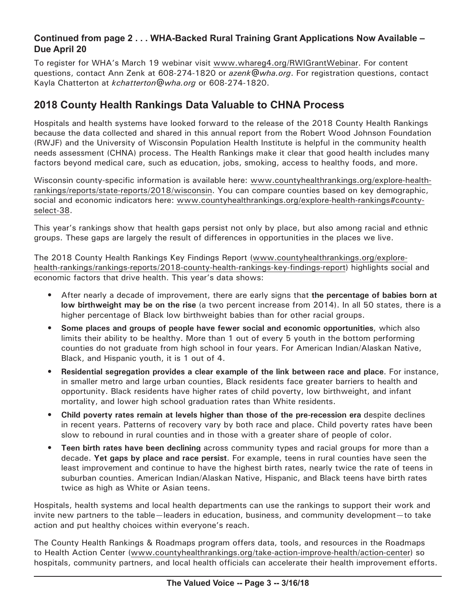## **Continued from page 2 . . . WHA-Backed Rural Training Grant Applications Now Available – Due April 20**

To register for WHA's March 19 webinar visit [www.whareg4.org/RWIGrantWebinar](http://www.whareg4.org/RWIGrantWebinar). For content questions, contact Ann Zenk at 608-274-1820 or *[azenk@wha.org](mailto:azenk@wha.org)*. For registration questions, contact Kayla Chatterton at *[kchatterton@wha.org](mailto:kchatterton@wha.org)* or 608-274-1820.

# **2018 County Health Rankings Data Valuable to CHNA Process**

Hospitals and health systems have looked forward to the release of the 2018 County Health Rankings because the data collected and shared in this annual report from the Robert Wood Johnson Foundation (RWJF) and the University of Wisconsin Population Health Institute is helpful in the community health needs assessment (CHNA) process. The Health Rankings make it clear that good health includes many factors beyond medical care, such as education, jobs, smoking, access to healthy foods, and more.

Wisconsin county-specific information is available here: [www.countyhealthrankings.org/explore-health](http://www.countyhealthrankings.org/explore-health-rankings/reports/state-reports/2018/wisconsin)[rankings/reports/state-reports/2018/wisconsin.](http://www.countyhealthrankings.org/explore-health-rankings/reports/state-reports/2018/wisconsin) You can compare counties based on key demographic, social and economic indicators here: [www.countyhealthrankings.org/explore-](http://www.countyhealthrankings.org/explore-health-rankings#county-select-38)health-rankings#countyselect-38.

This year's rankings show that health gaps persist not only by place, but also among racial and ethnic groups. These gaps are largely the result of differences in opportunities in the places we live.

The 2018 County Health Rankings Key Findings Report [\(www.countyhealthrankings.org/explore](http://www.countyhealthrankings.org/explore-health-rankings/rankings-reports/2018-county-health-rankings-key-findings-report)[health-rankings/rankings-](http://www.countyhealthrankings.org/explore-health-rankings/rankings-reports/2018-county-health-rankings-key-findings-report)reports/2018-county-health-rankings-key-findings-report) highlights social and economic factors that drive health. This year's data shows:

- After nearly a decade of improvement, there are early signs that **the percentage of babies born at low birthweight may be on the rise** (a two percent increase from 2014). In all 50 states, there is a higher percentage of Black low birthweight babies than for other racial groups.
- **• Some places and groups of people have fewer social and economic opportunities**, which also limits their ability to be healthy. More than 1 out of every 5 youth in the bottom performing counties do not graduate from high school in four years. For American Indian/Alaskan Native, Black, and Hispanic youth, it is 1 out of 4.
- **• Residential segregation provides a clear example of the link between race and place**. For instance, in smaller metro and large urban counties, Black residents face greater barriers to health and opportunity. Black residents have higher rates of child poverty, low birthweight, and infant mortality, and lower high school graduation rates than White residents.
- **• Child poverty rates remain at levels higher than those of the pre-recession era** despite declines in recent years. Patterns of recovery vary by both race and place. Child poverty rates have been slow to rebound in rural counties and in those with a greater share of people of color.
- **• Teen birth rates have been declining** across community types and racial groups for more than a decade. **Yet gaps by place and race persist**. For example, teens in rural counties have seen the least improvement and continue to have the highest birth rates, nearly twice the rate of teens in suburban counties. American Indian/Alaskan Native, Hispanic, and Black teens have birth rates twice as high as White or Asian teens.

Hospitals, health systems and local health departments can use the rankings to support their work and invite new partners to the table—leaders in education, business, and community development—to take action and put healthy choices within everyone's reach.

The County Health Rankings & Roadmaps program offers data, tools, and resources in the Roadmaps to Health Action Center [\(www.countyhealthrankings.org/take-action-improve-health/action-](http://www.countyhealthrankings.org/take-action-improve-health/action-center)center) so hospitals, community partners, and local health officials can accelerate their health improvement efforts.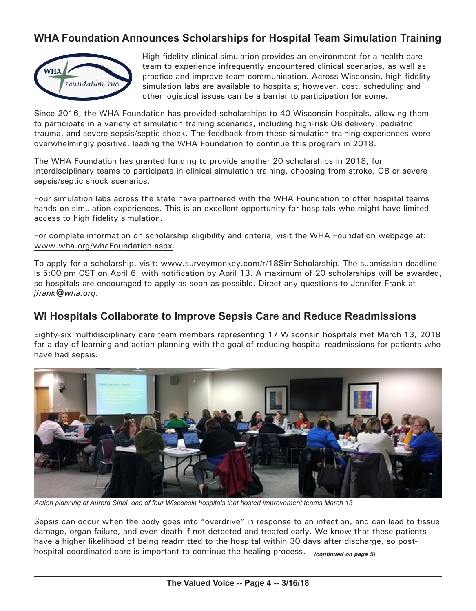# **WHA Foundation Announces Scholarships for Hospital Team Simulation Training**



High fidelity clinical simulation provides an environment for a health care team to experience infrequently encountered clinical scenarios, as well as practice and improve team communication. Across Wisconsin, high fidelity simulation labs are available to hospitals; however, cost, scheduling and other logistical issues can be a barrier to participation for some.

Since 2016, the WHA Foundation has provided scholarships to 40 Wisconsin hospitals, allowing them to participate in a variety of simulation training scenarios, including high-risk OB delivery, pediatric trauma, and severe sepsis/septic shock. The feedback from these simulation training experiences were overwhelmingly positive, leading the WHA Foundation to continue this program in 2018.

The WHA Foundation has granted funding to provide another 20 scholarships in 2018, for interdisciplinary teams to participate in clinical simulation training, choosing from stroke, OB or severe sepsis/septic shock scenarios.

Four simulation labs across the state have partnered with the WHA Foundation to offer hospital teams hands-on simulation experiences. This is an excellent opportunity for hospitals who might have limited access to high fidelity simulation.

For complete information on scholarship eligibility and criteria, visit the WHA Foundation webpage at: [www.wha.org/whaFoundation.aspx](http://www.wha.org/whaFoundation.aspx).

To apply for a scholarship, visit: [www.surveymonkey.com/](http://www.surveymonkey.com/r/18SimScholarship)r/18SimScholarship. The submission deadline is 5:00 pm CST on April 6, with notification by April 13. A maximum of 20 scholarships will be awarded, so hospitals are encouraged to apply as soon as possible. Direct any questions to Jennifer Frank at *[jfrank@wha.org](mailto:jfrank@wha.org)*.

## **WI Hospitals Collaborate to Improve Sepsis Care and Reduce Readmissions**

Eighty-six multidisciplinary care team members representing 17 Wisconsin hospitals met March 13, 2018 for a day of learning and action planning with the goal of reducing hospital readmissions for patients who have had sepsis.



*Action planning at Aurora Sinai, one of four Wisconsin hospitals that hosted improvement teams March 13*

Sepsis can occur when the body goes into "overdrive" in response to an infection, and can lead to tissue damage, organ failure, and even death if not detected and treated early. We know that these patients have a higher likelihood of being readmitted to the hospital within 30 days after discharge, so posthospital coordinated care is important to continue the healing process. *(continued on page 5)*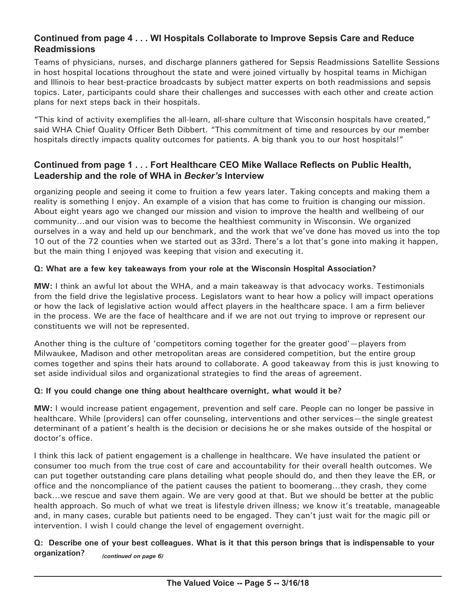#### **Continued from page 4 . . . WI Hospitals Collaborate to Improve Sepsis Care and Reduce Readmissions**

Teams of physicians, nurses, and discharge planners gathered for Sepsis Readmissions Satellite Sessions in host hospital locations throughout the state and were joined virtually by hospital teams in Michigan and Illinois to hear best-practice broadcasts by subject matter experts on both readmissions and sepsis topics. Later, participants could share their challenges and successes with each other and create action plans for next steps back in their hospitals.

"This kind of activity exemplifies the all-learn, all-share culture that Wisconsin hospitals have created," said WHA Chief Quality Officer Beth Dibbert. "This commitment of time and resources by our member hospitals directly impacts quality outcomes for patients. A big thank you to our host hospitals!"

#### **Continued from page 1 . . . Fort Healthcare CEO Mike Wallace Reflects on Public Health, Leadership and the role of WHA in** *Becker's* **Interview**

organizing people and seeing it come to fruition a few years later. Taking concepts and making them a reality is something I enjoy. An example of a vision that has come to fruition is changing our mission. About eight years ago we changed our mission and vision to improve the health and wellbeing of our community…and our vision was to become the healthiest community in Wisconsin. We organized ourselves in a way and held up our benchmark, and the work that we've done has moved us into the top 10 out of the 72 counties when we started out as 33rd. There's a lot that's gone into making it happen, but the main thing I enjoyed was keeping that vision and executing it.

#### **Q: What are a few key takeaways from your role at the Wisconsin Hospital Association?**

**MW:** I think an awful lot about the WHA, and a main takeaway is that advocacy works. Testimonials from the field drive the legislative process. Legislators want to hear how a policy will impact operations or how the lack of legislative action would affect players in the healthcare space. I am a firm believer in the process. We are the face of healthcare and if we are not out trying to improve or represent our constituents we will not be represented.

Another thing is the culture of 'competitors coming together for the greater good'—players from Milwaukee, Madison and other metropolitan areas are considered competition, but the entire group comes together and spins their hats around to collaborate. A good takeaway from this is just knowing to set aside individual silos and organizational strategies to find the areas of agreement.

#### **Q: If you could change one thing about healthcare overnight, what would it be?**

**MW:** I would increase patient engagement, prevention and self care. People can no longer be passive in healthcare. While [providers] can offer counseling, interventions and other services—the single greatest determinant of a patient's health is the decision or decisions he or she makes outside of the hospital or doctor's office.

I think this lack of patient engagement is a challenge in healthcare. We have insulated the patient or consumer too much from the true cost of care and accountability for their overall health outcomes. We can put together outstanding care plans detailing what people should do, and then they leave the ER, or office and the noncompliance of the patient causes the patient to boomerang…they crash, they come back…we rescue and save them again. We are very good at that. But we should be better at the public health approach. So much of what we treat is lifestyle driven illness; we know it's treatable, manageable and, in many cases, curable but patients need to be engaged. They can't just wait for the magic pill or intervention. I wish I could change the level of engagement overnight.

#### **Q: Describe one of your best colleagues. What is it that this person brings that is indispensable to your organization?** *(continued on page 6)*